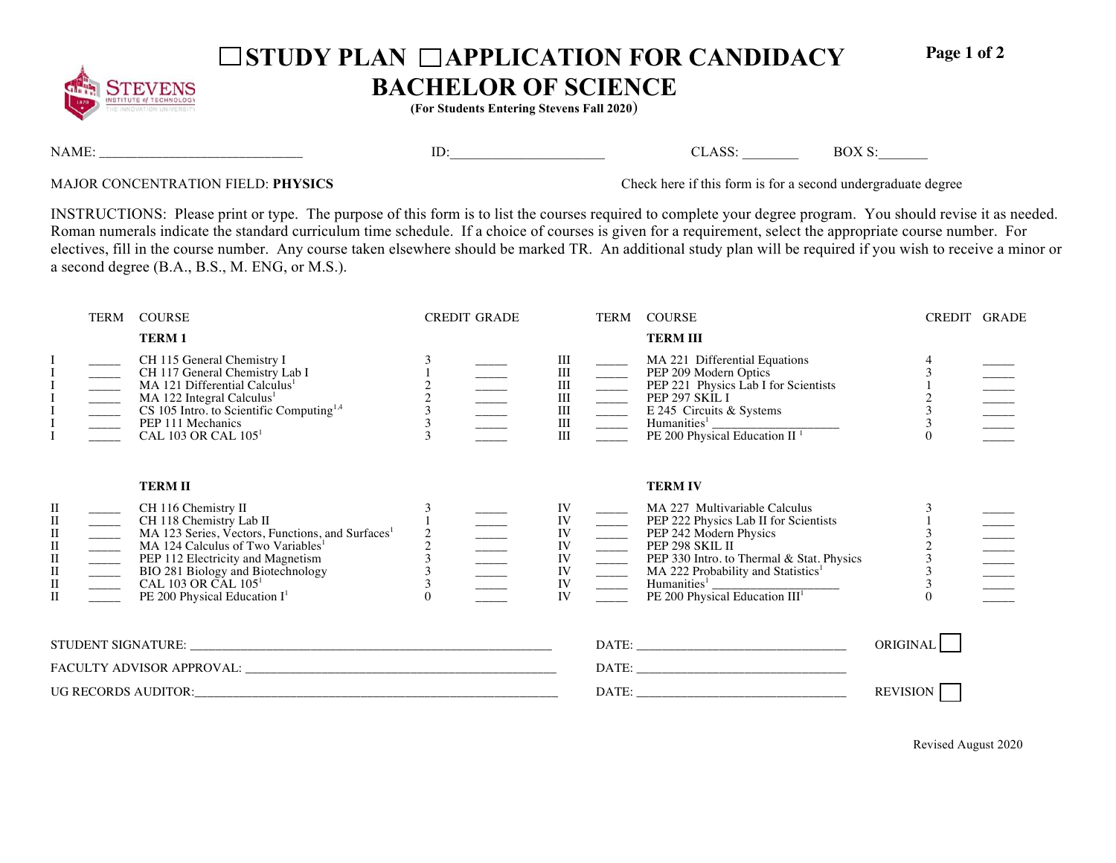

## □ STUDY PLAN □ APPLICATION FOR CANDIDACY

**Page 1 of 2** 

## **BACHELOR OF SCIENCE**

**(For Students Entering Stevens Fall 2020**)

NAME: \_\_\_\_\_\_\_\_\_\_\_\_\_\_\_\_\_\_\_\_\_\_\_\_\_\_\_\_\_\_\_\_ ID:\_\_\_\_\_\_\_\_\_\_\_\_\_\_\_\_\_\_\_\_\_\_ CLASS: \_\_\_\_\_\_\_\_ BOX S:\_\_\_\_\_\_\_

MAJOR CONCENTRATION FIELD: **PHYSICS** Check here if this form is for a second undergraduate degree

INSTRUCTIONS: Please print or type. The purpose of this form is to list the courses required to complete your degree program. You should revise it as needed. Roman numerals indicate the standard curriculum time schedule. If a choice of courses is given for a requirement, select the appropriate course number. For electives, fill in the course number. Any course taken elsewhere should be marked TR. An additional study plan will be required if you wish to receive a minor or a second degree (B.A., B.S., M. ENG, or M.S.).

|                                                                                               | TERM | <b>COURSE</b>                                                                                                                                                                                                                                                                                                                              |                                                 | <b>CREDIT GRADE</b> |                                                                          |                                                                                                                                                                                                                                                                                                                                                                                                                                                                                                                                                     | TERM COURSE                                                                                                                                                                                                                                                                                                                                                                                          | CREDIT GRADE       |  |
|-----------------------------------------------------------------------------------------------|------|--------------------------------------------------------------------------------------------------------------------------------------------------------------------------------------------------------------------------------------------------------------------------------------------------------------------------------------------|-------------------------------------------------|---------------------|--------------------------------------------------------------------------|-----------------------------------------------------------------------------------------------------------------------------------------------------------------------------------------------------------------------------------------------------------------------------------------------------------------------------------------------------------------------------------------------------------------------------------------------------------------------------------------------------------------------------------------------------|------------------------------------------------------------------------------------------------------------------------------------------------------------------------------------------------------------------------------------------------------------------------------------------------------------------------------------------------------------------------------------------------------|--------------------|--|
|                                                                                               |      | <b>TERM1</b>                                                                                                                                                                                                                                                                                                                               |                                                 |                     |                                                                          |                                                                                                                                                                                                                                                                                                                                                                                                                                                                                                                                                     | <b>TERM III</b>                                                                                                                                                                                                                                                                                                                                                                                      |                    |  |
|                                                                                               |      | CH 115 General Chemistry I<br>CH 117 General Chemistry Lab I<br>MA 121 Differential Calculus <sup>1</sup><br>MA 122 Integral Calculus <sup>1</sup><br>CS 105 Intro. to Scientific Computing <sup>1,4</sup><br>PEP 111 Mechanics<br>CAL 103 OR CAL 105 <sup>1</sup>                                                                         | $\begin{array}{c} 2 \\ 2 \\ 3 \\ 3 \end{array}$ |                     |                                                                          | $\begin{array}{c} \begin{array}{c} \text{III} \\ \text{III} \\ \text{III} \end{array} \\ \begin{array}{c} \begin{array}{c} \text{III} \\ \text{III} \end{array} \\ \begin{array}{c} \text{III} \\ \text{III} \end{array} \\ \begin{array}{c} \end{array} \\ \begin{array}{c} \text{III} \\ \text{III} \end{array} \\ \begin{array}{c} \end{array} \\ \begin{array}{c} \end{array} \\ \begin{array}{c} \text{III} \\ \text{III} \end{array} \\ \begin{array}{c} \end{array} \\ \begin{array}{c} \end{array} \\ \begin{array}{c} \text{III} \\ \text$ | MA 221 Differential Equations<br>PEP 209 Modern Optics<br>PEP 221 Physics Lab I for Scientists<br>PEP 297 SKIL I<br>E 245 Circuits & Systems<br>Humanities <sup>1</sup> PE 200 Physical Education II <sup>1</sup>                                                                                                                                                                                    | $\frac{1}{2}$      |  |
| П<br>$\rm II$<br>$\rm II$<br>$\begin{array}{c} \Pi \ \Pi \ \Pi \ \Pi \ \Pi \ \Pi \end{array}$ |      | <b>TERM II</b><br>CH 116 Chemistry II<br>CH 118 Chemistry Lab II<br>MA 123 Series, Vectors, Functions, and Surfaces <sup>1</sup><br>MA 124 Calculus of Two Variables <sup>1</sup><br>PEP 112 Electricity and Magnetism<br>BIO 281 Biology and Biotechnology<br>CAL 103 OR CAL 105 <sup>1</sup><br>PE 200 Physical Education I <sup>1</sup> | $\frac{2}{3}$<br>3                              |                     | IV<br>${\rm IV}$<br>$\frac{1}{N}$<br>$\frac{\rm IV}{\rm IV}$<br>IV<br>IV |                                                                                                                                                                                                                                                                                                                                                                                                                                                                                                                                                     | <b>TERM IV</b><br>MA 227 Multivariable Calculus<br>PEP 222 Physics Lab II for Scientists<br>PEP 242 Modern Physics<br>PEP 298 SKIL II<br>PEP 330 Intro. to Thermal & Stat. Phy<br>MA 222 Probability and Statistics <sup>1</sup><br>Humanities <sup>1</sup><br>PEP 300 Physical Ed<br>PEP 330 Intro. to Thermal & Stat. Physics<br>$\frac{1}{\text{Humanities}^1}$ PE 200 Physical Education $III^1$ | $\frac{3}{2}$<br>3 |  |
|                                                                                               |      |                                                                                                                                                                                                                                                                                                                                            |                                                 |                     |                                                                          |                                                                                                                                                                                                                                                                                                                                                                                                                                                                                                                                                     | ORIGINAL                                                                                                                                                                                                                                                                                                                                                                                             |                    |  |
|                                                                                               |      |                                                                                                                                                                                                                                                                                                                                            |                                                 |                     |                                                                          |                                                                                                                                                                                                                                                                                                                                                                                                                                                                                                                                                     |                                                                                                                                                                                                                                                                                                                                                                                                      |                    |  |
|                                                                                               |      |                                                                                                                                                                                                                                                                                                                                            |                                                 |                     |                                                                          |                                                                                                                                                                                                                                                                                                                                                                                                                                                                                                                                                     | <b>REVISION</b>                                                                                                                                                                                                                                                                                                                                                                                      |                    |  |

Revised August 2020